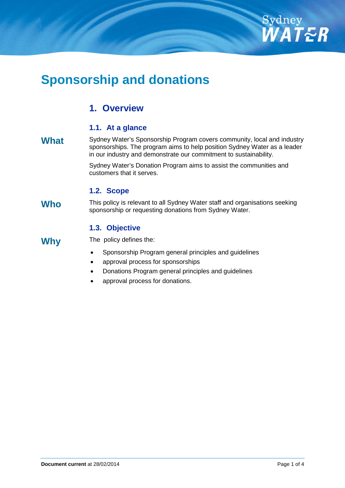

# **Sponsorship and donations**

### **1. Overview**

#### **1.1. At a glance**

#### What Sydney Water's Sponsorship Program covers community, local and industry sponsorships. The program aims to help position Sydney Water as a leader in our industry and demonstrate our commitment to sustainability.

Sydney Water's Donation Program aims to assist the communities and customers that it serves.

#### **1.2. Scope**

Who This policy is relevant to all Sydney Water staff and organisations seeking sponsorship or requesting donations from Sydney Water.

#### **1.3. Objective**

**Policy** 

- **Why** The policy defines the:
	- Sponsorship Program general principles and guidelines
	- approval process for sponsorships
	- Donations Program general principles and guidelines
	- approval process for donations.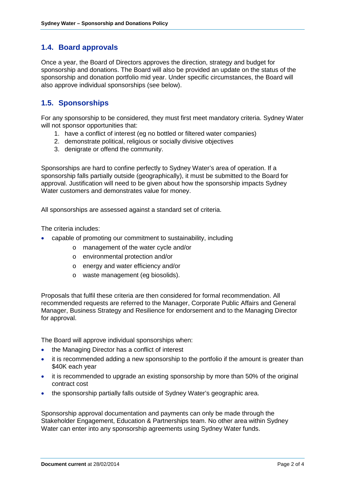#### **1.4. Board approvals**

Once a year, the Board of Directors approves the direction, strategy and budget for sponsorship and donations. The Board will also be provided an update on the status of the sponsorship and donation portfolio mid year. Under specific circumstances, the Board will also approve individual sponsorships (see below).

#### **1.5. Sponsorships**

For any sponsorship to be considered, they must first meet mandatory criteria. Sydney Water will not sponsor opportunities that:

- 1. have a conflict of interest (eg no bottled or filtered water companies)
- 2. demonstrate political, religious or socially divisive objectives
- 3. denigrate or offend the community.

Sponsorships are hard to confine perfectly to Sydney Water's area of operation. If a sponsorship falls partially outside (geographically), it must be submitted to the Board for approval. Justification will need to be given about how the sponsorship impacts Sydney Water customers and demonstrates value for money.

All sponsorships are assessed against a standard set of criteria.

The criteria includes:

- capable of promoting our commitment to sustainability, including
	- o management of the water cycle and/or
	- o environmental protection and/or
	- o energy and water efficiency and/or
	- o waste management (eg biosolids).

Proposals that fulfil these criteria are then considered for formal recommendation. All recommended requests are referred to the Manager, Corporate Public Affairs and General Manager, Business Strategy and Resilience for endorsement and to the Managing Director for approval.

The Board will approve individual sponsorships when:

- the Managing Director has a conflict of interest
- it is recommended adding a new sponsorship to the portfolio if the amount is greater than \$40K each year
- it is recommended to upgrade an existing sponsorship by more than 50% of the original contract cost
- the sponsorship partially falls outside of Sydney Water's geographic area.

Sponsorship approval documentation and payments can only be made through the Stakeholder Engagement, Education & Partnerships team. No other area within Sydney Water can enter into any sponsorship agreements using Sydney Water funds.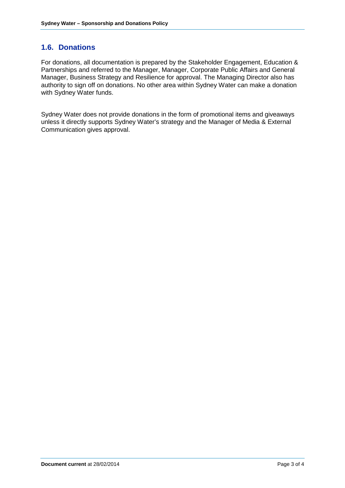#### **1.6. Donations**

For donations, all documentation is prepared by the Stakeholder Engagement, Education & Partnerships and referred to the Manager, Manager, Corporate Public Affairs and General Manager, Business Strategy and Resilience for approval. The Managing Director also has authority to sign off on donations. No other area within Sydney Water can make a donation with Sydney Water funds.

Sydney Water does not provide donations in the form of promotional items and giveaways unless it directly supports Sydney Water's strategy and the Manager of Media & External Communication gives approval.